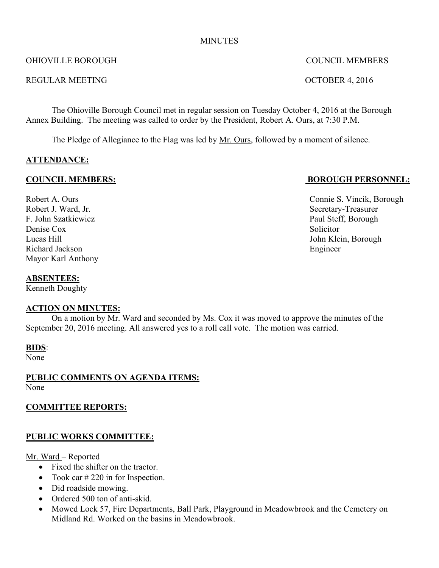#### MINUTES

#### OHIOVILLE BOROUGH COUNCIL MEMBERS

#### REGULAR MEETING CONTROLLAR MEETING

The Ohioville Borough Council met in regular session on Tuesday October 4, 2016 at the Borough Annex Building. The meeting was called to order by the President, Robert A. Ours, at 7:30 P.M.

The Pledge of Allegiance to the Flag was led by Mr. Ours, followed by a moment of silence.

# **ATTENDANCE:**

#### **COUNCIL MEMBERS: BOROUGH PERSONNEL:**

Robert J. Ward, Jr. Secretary-Treasurer F. John Szatkiewicz Paul Steff, Borough Denise Cox Solicitor Lucas Hill John Klein, Borough Richard Jackson Engineer Mayor Karl Anthony

#### **ABSENTEES:**

Kenneth Doughty

#### **ACTION ON MINUTES:**

On a motion by Mr. Ward and seconded by Ms. Cox it was moved to approve the minutes of the September 20, 2016 meeting. All answered yes to a roll call vote. The motion was carried.

#### **BIDS**:

None

#### **PUBLIC COMMENTS ON AGENDA ITEMS:** None

# **COMMITTEE REPORTS:**

# **PUBLIC WORKS COMMITTEE:**

#### Mr. Ward – Reported

- Fixed the shifter on the tractor.
- Took car  $\#$  220 in for Inspection.
- Did roadside mowing.
- Ordered 500 ton of anti-skid.
- Mowed Lock 57, Fire Departments, Ball Park, Playground in Meadowbrook and the Cemetery on Midland Rd. Worked on the basins in Meadowbrook.

Robert A. Ours Connie S. Vincik, Borough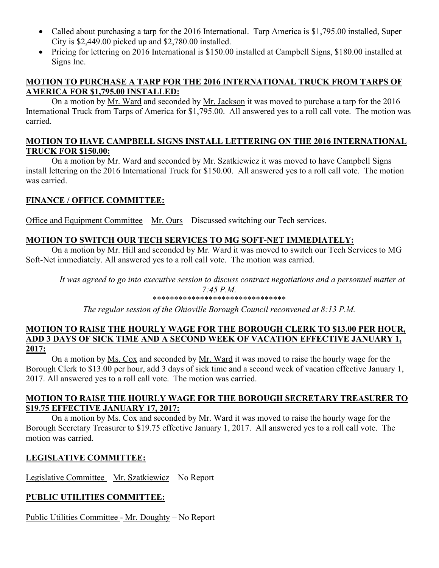- Called about purchasing a tarp for the 2016 International. Tarp America is \$1,795.00 installed, Super City is \$2,449.00 picked up and \$2,780.00 installed.
- Pricing for lettering on 2016 International is \$150.00 installed at Campbell Signs, \$180.00 installed at Signs Inc.

# **MOTION TO PURCHASE A TARP FOR THE 2016 INTERNATIONAL TRUCK FROM TARPS OF AMERICA FOR \$1,795.00 INSTALLED:**

On a motion by Mr. Ward and seconded by Mr. Jackson it was moved to purchase a tarp for the 2016 International Truck from Tarps of America for \$1,795.00. All answered yes to a roll call vote. The motion was carried.

#### **MOTION TO HAVE CAMPBELL SIGNS INSTALL LETTERING ON THE 2016 INTERNATIONAL TRUCK FOR \$150.00:**

On a motion by Mr. Ward and seconded by Mr. Szatkiewicz it was moved to have Campbell Signs install lettering on the 2016 International Truck for \$150.00. All answered yes to a roll call vote. The motion was carried.

# **FINANCE / OFFICE COMMITTEE:**

Office and Equipment Committee – Mr. Ours – Discussed switching our Tech services.

# **MOTION TO SWITCH OUR TECH SERVICES TO MG SOFT-NET IMMEDIATELY:**

On a motion by Mr. Hill and seconded by Mr. Ward it was moved to switch our Tech Services to MG Soft-Net immediately. All answered yes to a roll call vote. The motion was carried.

*It was agreed to go into executive session to discuss contract negotiations and a personnel matter at 7:45 P.M.* \*\*\*\*\*\*\*\*\*\*\*\*\*\*\*\*\*\*\*\*\*\*\*\*\*\*\*\*\*\*\*

*The regular session of the Ohioville Borough Council reconvened at 8:13 P.M.*

#### **MOTION TO RAISE THE HOURLY WAGE FOR THE BOROUGH CLERK TO \$13.00 PER HOUR, ADD 3 DAYS OF SICK TIME AND A SECOND WEEK OF VACATION EFFECTIVE JANUARY 1, 2017:**

On a motion by Ms. Cox and seconded by Mr. Ward it was moved to raise the hourly wage for the Borough Clerk to \$13.00 per hour, add 3 days of sick time and a second week of vacation effective January 1, 2017. All answered yes to a roll call vote. The motion was carried.

# **MOTION TO RAISE THE HOURLY WAGE FOR THE BOROUGH SECRETARY TREASURER TO \$19.75 EFFECTIVE JANUARY 17, 2017:**

On a motion by Ms. Cox and seconded by Mr. Ward it was moved to raise the hourly wage for the Borough Secretary Treasurer to \$19.75 effective January 1, 2017. All answered yes to a roll call vote. The motion was carried.

# **LEGISLATIVE COMMITTEE:**

Legislative Committee – Mr. Szatkiewicz – No Report

# **PUBLIC UTILITIES COMMITTEE:**

Public Utilities Committee - Mr. Doughty – No Report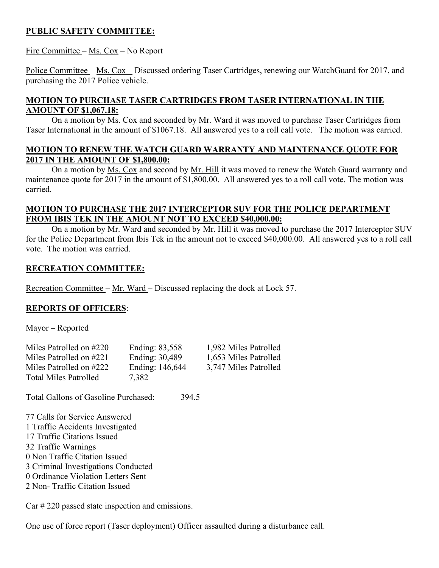# **PUBLIC SAFETY COMMITTEE:**

# Fire Committee – Ms. Cox – No Report

Police Committee – Ms. Cox – Discussed ordering Taser Cartridges, renewing our WatchGuard for 2017, and purchasing the 2017 Police vehicle.

# **MOTION TO PURCHASE TASER CARTRIDGES FROM TASER INTERNATIONAL IN THE AMOUNT OF \$1,067.18:**

On a motion by Ms. Cox and seconded by Mr. Ward it was moved to purchase Taser Cartridges from Taser International in the amount of \$1067.18. All answered yes to a roll call vote. The motion was carried.

# **MOTION TO RENEW THE WATCH GUARD WARRANTY AND MAINTENANCE QUOTE FOR 2017 IN THE AMOUNT OF \$1,800.00:**

On a motion by Ms. Cox and second by Mr. Hill it was moved to renew the Watch Guard warranty and maintenance quote for 2017 in the amount of \$1,800.00. All answered yes to a roll call vote. The motion was carried.

# **MOTION TO PURCHASE THE 2017 INTERCEPTOR SUV FOR THE POLICE DEPARTMENT FROM IBIS TEK IN THE AMOUNT NOT TO EXCEED \$40,000.00:**

On a motion by Mr. Ward and seconded by Mr. Hill it was moved to purchase the 2017 Interceptor SUV for the Police Department from Ibis Tek in the amount not to exceed \$40,000.00. All answered yes to a roll call vote. The motion was carried.

# **RECREATION COMMITTEE:**

Recreation Committee – Mr. Ward – Discussed replacing the dock at Lock 57.

# **REPORTS OF OFFICERS**:

Mayor – Reported

| Miles Patrolled on #220      | Ending: 83,558  | 1,982 Miles Patrolled |
|------------------------------|-----------------|-----------------------|
| Miles Patrolled on #221      | Ending: 30,489  | 1,653 Miles Patrolled |
| Miles Patrolled on #222      | Ending: 146,644 | 3,747 Miles Patrolled |
| <b>Total Miles Patrolled</b> | 7.382           |                       |

Total Gallons of Gasoline Purchased: 394.5

 Calls for Service Answered 1 Traffic Accidents Investigated Traffic Citations Issued Traffic Warnings 0 Non Traffic Citation Issued Criminal Investigations Conducted 0 Ordinance Violation Letters Sent Non- Traffic Citation Issued

Car # 220 passed state inspection and emissions.

One use of force report (Taser deployment) Officer assaulted during a disturbance call.